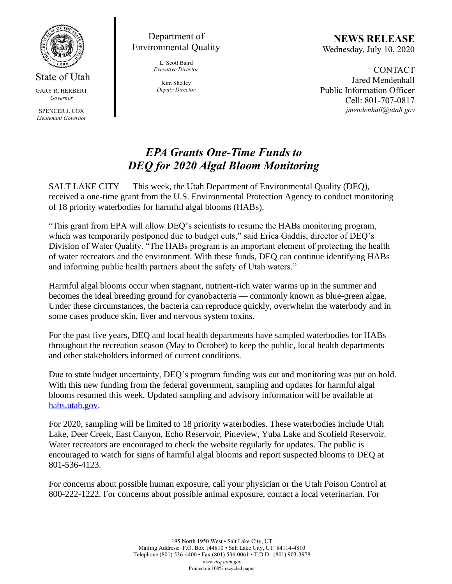

## State of Utah GARY R. HERBERT *Governor*

SPENCER J. COX *Lieutenant Governor*

Department of Environmental Quality

> L. Scott Baird *Executive Director*

Kim Shelley *Deputy Director*

**NEWS RELEASE** Wednesday, July 10, 2020

**CONTACT** Jared Mendenhall Public Information Officer Cell: 801-707-0817 *jmendenhall@utah.gov*

## *EPA Grants One-Time Funds to DEQ for 2020 Algal Bloom Monitoring*

SALT LAKE CITY — This week, the Utah Department of Environmental Quality (DEQ), received a one-time grant from the U.S. Environmental Protection Agency to conduct monitoring of 18 priority waterbodies for harmful algal blooms (HABs).

"This grant from EPA will allow DEQ's scientists to resume the HABs monitoring program, which was temporarily postponed due to budget cuts," said Erica Gaddis, director of DEQ's Division of Water Quality. "The HABs program is an important element of protecting the health of water recreators and the environment. With these funds, DEQ can continue identifying HABs and informing public health partners about the safety of Utah waters."

Harmful algal blooms occur when stagnant, nutrient-rich water warms up in the summer and becomes the ideal breeding ground for cyanobacteria — commonly known as blue-green algae. Under these circumstances, the bacteria can reproduce quickly, overwhelm the waterbody and in some cases produce skin, liver and nervous system toxins.

For the past five years, DEQ and local health departments have sampled waterbodies for HABs throughout the recreation season (May to October) to keep the public, local health departments and other stakeholders informed of current conditions.

Due to state budget uncertainty, DEQ's program funding was cut and monitoring was put on hold. With this new funding from the federal government, sampling and updates for harmful algal blooms resumed this week. Updated sampling and advisory information will be available a[t](https://deq.utah.gov/water-quality/harmful-algal-blooms-home) [habs.utah.gov.](https://deq.utah.gov/water-quality/harmful-algal-blooms-home)

For 2020, sampling will be limited to 18 priority waterbodies. These waterbodies include Utah Lake, Deer Creek, East Canyon, Echo Reservoir, Pineview, Yuba Lake and Scofield Reservoir. Water recreators are encouraged to check the website regularly for updates. The public is encouraged to watch for signs of harmful algal blooms and report suspected blooms to DEQ at 801-536-4123.

For concerns about possible human exposure, call your physician or the Utah Poison Control at 800-222-1222. For concerns about possible animal exposure, contact a local veterinarian. For